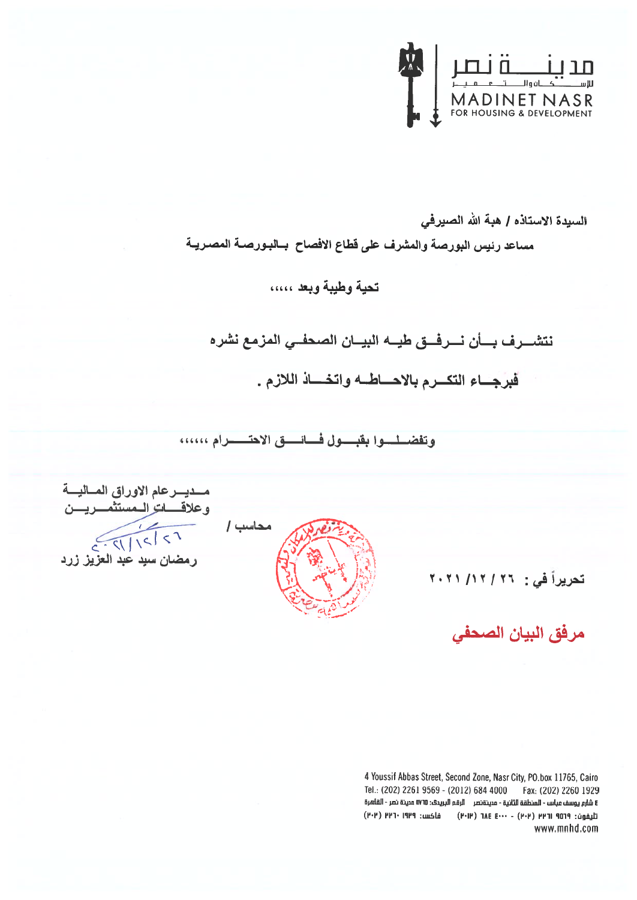

السيدة الاستاذه / هبة الله الصيرفي

مساعد رئيس البورصة والمشرف على قطاع الافصاح بسالبـورصــة المصـريــة

### تحية وطيبة وبعد .....

نتشــــرف بــــأن نــــرفـــق طيـــه البيـــان الصحفــي المزمع نشره

فبرجاع التكرم بالاحاطسه واتخساذ اللازم.

وتفضيليوا بقبسول فسائسق الاحتسسرام ،،،،،،

محاشب /

مسديسرعام الاوراق المساليسة وعلا<u>قہ اترالہ م</u>ستثمہ ریسن<br>1 > | > | > | > | > |<br>رمضان سید عبد العزیز زرد

### تحريراً في : 11/ ٢٠٢١/ ٢٠٢١

مرفق البيان الصحفى

4 Youssif Abbas Street, Second Zone, Nasr City, PO.box 11765, Cairo Tel.: (202) 2261 9569 - (2012) 684 4000 Fax: (202) 2260 1929 E شارع يوسف عباس - المنطقة الثانية - مدينةنصر الرقم البريدي: ١٧٦٥ مدينة نصر - القاهرة تليفون: ١٩٥٩ ١٣٩١ (٢٠٢) - ٢٠٠٠ ٦٨٤ (٢٠١٢) - فاكس: ١٩٣٩ (٢٠٢) www.mnhd.com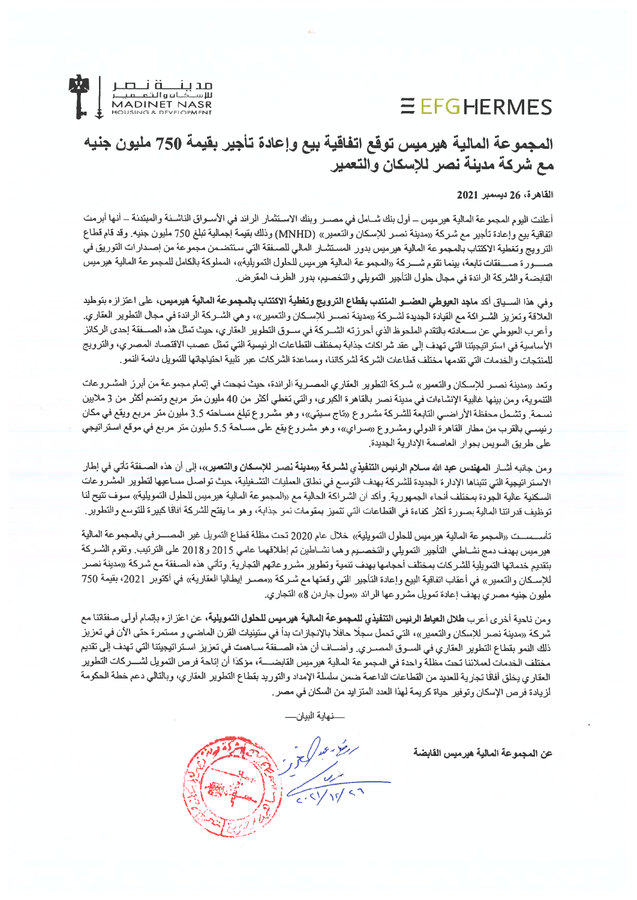## **EEFGHERMES**



### المجموعة المالية هيرميس توقع اتفاقية بيع وإعادة تأجير بقيمة 750 مليون جنيه مع شركة مدينة نصر للإسكان والتعمير

#### القاهرة، 26 ديسمبر 2021

أعلنت اليوم المجموعة المالية هيرميس ــ أول بنك شــامل في مصــر وبنك الاسـتثمار الراند في الأســواق الناشــنة والمبتدنة ــ أنـها أبرمت اتفاقية بيع وإعادة تأجير مع شركة «مدينة نصىر للإسكان والتعمير» (MNHD) وذلك بقيمة إجمالية تبلغ 750 مليون جنيه. وقد قام قطاع الترويج وتغطية الاكتتاب بالمجموعة المالية هيرميس بدور المستشار المالي للصـفقة التي ستتضـمن مجموعة من إصـدارات التوريق في صــــورة صــــفقات تابعة، بينما تقوم شـــركة «المجموعة المالية هيرميس للحلول التمويلية»، المملوكة بالكامل للمجموعة المالية هيرميس القابضة والشركة الراندة في مجال حلول التأجير التمويلي والتخصيم، بدور الطرف المقرض.

وفي هذا السسياق أكد ماجد العيوطي العضسو المنتدب بقطاع الترويج وتغطية الاكتتاب بالمجموعة المالية هيرميس، على اعتزازه بتوطيد العلاقة وتعزيز الشــراكة مع القيادة الجديدة لشــركة «مدينة نصــر للإسـكان والتعمير»، و هي الشــركة الرائدة في مجال التطوير العقاري. وأعرب العيوطي عن ســعادته بالتقدم الملحوظ الذي أحرزته الشــركة في ســوق التطوير العقاري، حيث تمثّل هذه الصـــفقة إحدى الركائز الأساسية في استر اتيجيتنا التي تهدف إلى عقد شراكات جذابة بمختلف القطاعات الرنيسية التي تمثل عصب الاقتصاد المصري، والترويج للمنتجات والخدمات التي تقدمها مختلف قطاعات الشركة لشركاننا، ومساعدة الشركات عبر تلبية احتياجاتها للتمويل دانمة النمو

وتعد «مدينة نصـر للإسـكان والتعمير » شـركة التطوير العقاري المصـرية الرائدة، حيث نجحت في إتمام مجموعة من أبرز المشـروعات التنموية، ومن بينها غالبية الإنشاءات في مدينة نصر بالقاهرة الكبرى، والتي تغطي أكثر من 40 مليون متر مربع وتضم أكثر من 3 ملايين نسمة. وتشمل محفظة الأراضـي التابعة للشـركة مشـروع «تاج سيتي»، وهو مشـروع تبلغ مسـاحته 3.5 مليون متر مربع ويقع في مكان رنيسـي بالقرب من مطار القاهر ة الدولي ومشـروع «سـراي»، و هو مشـروع يقع على مسـاحة 5.5 مليون متر مربع في موقع اسـتراتيجي على طريق السويس بجوار العاصمة الإدارية الجديدة.

ومن جانبه أشــار ا**لمهندس عبد الله سـلام الرئيس التنفيذي لشـركة «مدينة نصـر للإسـكان والتعمير»، إلى أن هذه الصــفقة تأتى في إطار** الاستر اتبجية التي تتبناها الإدار ة الجديدة للشركة بهدف التوسع في نطاق العمليات التشخيلية، حيث تواصل مساعيها لتطوير المشروعات السكنية عالية الجودة بمختلف أنحاء الجمهورية. وأكد أن الشراكة الحالية مع «المجموعة المالية هيرميس للحلول التمويلية» سوف تتيح لنا توظيف قدراتنا المالية بصورة أكثر كفاءة في القطاعات التي تتميز بمقومات نمو جذابة، وهو ما يفتح للشركة أفاقًا كبيرة للتوسع والتطوير .

تأسيسيت «المجموعة المالية هير ميس للحلول التمويلية» خلال عام 2020 تحت مظلة قطاع التمويل غير المصيــرفي بالمجموعة المالية هير ميس بهدف دمج نشـاطي التأجير التمويلي والتخصـيم و هما نشــاطين تم إطلاقهما عامي 2015 و2018 على الترتيب. وتقوم الشـركة بتقديم خدماتها التمويلية للشركات بمختلف أحجامها بهدف تنمية وتطوير مشروعاتهم التجارية. وتأتي هذه الصفقة مع شركة «مدينة نصـر للإسكان والتعمير » في أعقاب اتفاقية البيع وإعادة التأجير التي وقعتها مع شـركة «مصــر إيطاليا العقارية» في أكتوبر 2021، بقيمة 750 مليون جنيه مصري بهدف إعادة تمويل مشروعها الرائد «مول جاردن 8» التجاري.

ومن ناحية أخرى أعرب طلال العياط الرئيس التنفيذي للمجموعة المالية هيرميس للحلول التمويلية، عن اعتزازه بإتمام أولى صفقاتنا مع شركة «مدينة نصر للإسكان والتعمير»، التي تحمل سجلًا حافلًا بالإنجازات بدأ في ستينيات القرن الماضي و مستمرة حتى الأن في تعزيز ذلك النمو بقطاع التطوير العقاري في السـوق المصـري وأضــاف أن هذه الصــفقة ســاهمت في تعزيز اسـتراتيجيتنا التي تهدف إلى تقديم مختلف الخدمات لعملائنا تحت مظلة واحدة في المجموعة المالية هيرميس القابضــــة، مؤكدًا أن إتاحة فرص التمويل لشـــركات التطوير العقاري يخلق أفاقًا تجارية للعديد من القطاعات الداعمة ضمن سلسلة الإمداد والتوريد بقطاع التطوير العقاري، وبالتالي دعم خطة الحكومة لزيادة فرص الإسكان وتوفير حياة كريمة لهذا العدد المتزايد من السكان في مصر .

نهاية البيان—

عن المجموعة المالية هيرميس القابضة

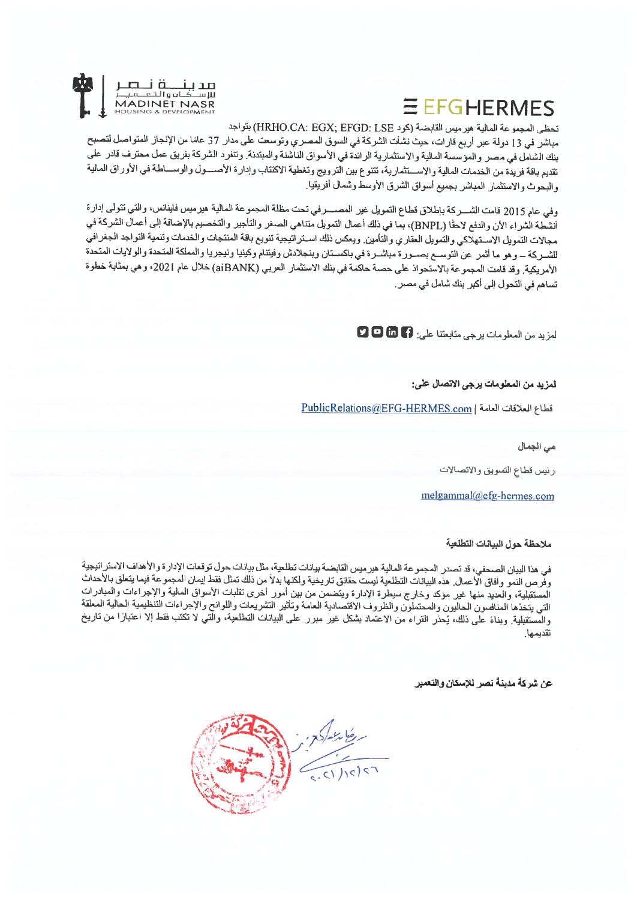# **EFFGHERMES**



تحظى المجموعة المالية هير ميس القابضة (كود HRHO.CA: EGX; EFGD: LSE) بتواجد

مباشر في 13 دولة عبر أربع قارات، حيث نشأت الشركة في السوق المصري وتوسعت على مدار 37 عامًا من الإنجاز المتواصل لتصبح بنك الشامل في مصر والموسسة المالية والاستثمارية الراندة في الأسواق الناشئة والمبتدنة. وتنفرد الشركة بفريق عمل محترف قادر على تقديم باقة فريدة من الخدمات المالية والاستثمارية، تتنوع بين الترويج وتغطية الاكتتاب وإدارة الأصسول والوســاطة في الأوراق المالية والبحوث والاستئمار المباشر بجميع أسواق الشرق الأوسط وشمال أفريقيا

وفي عام 2015 قامت الشــــركة بإطلاق قطاع التمويل غير المصــــرفي تحت مظلة المجموعة المالية هيرميس فاينانس، والتي تتولى إدارة أنشطة الشراء الأن والدفع لاحقًا (BNPL)، بما في ذلك أعمال التمويل متناهي الصغر والتأجير والتخصيم بالإضافة إلى أعمال الشركة في مجالات التمويل الاستهلاكي والتمويل العقاري والتأمين ويعكس ذلك استراتيجية تنويع باقة المنتجات والخدمات وتنمية التواجد الجغرافي للشــركة ــ وهو ما أثمر عن التوســع بصــورة مباشــرة في باكســتان وبنجلادش وفيتنام وكينيا ونيجريا والمملكة المتحدة والولايات المتحدة الأمريكية. وقد قامت المجموعة بالاستحواذ على حصبة حاكمة في بنك الاستثمار العربي (aiBANK) خلال عام 2021، وهي بمثابة خطوة تساهم في التحول إلى أكبر بنك شامل في مصر .

لمزيد من المعلومات يرجى متابعتنا على: 9 C C C

لمزيد من المعلومات برجي الاتصال علي:

PublicRelations@EFG-HERMES.com | المعالمة

می الجمال

رئيس قطاع التسويق والاتصالات

melgammal@efg-hermes.com

ملاحظة حول البيانات النطلعية

في هذا البيان الصحفي، قد تصدر المجموعة المالية هيرميس القابضة بيانات تطلعية، مثل بيانات حول توقعات الإدارة والأهداف الاستراتيجية وفرص النمو وأفاق الأعمال هذه البيانات التطلعية ليست حقانق تاريخية ولكنها بدلاً من ذلك تمثل فقط إيمان المجموعة فيما يتعلق بالأحداث المستقبلية، والعديد منها غير موكد وخارج سيطرة الإدارة ويتضمن من بين أمور أخرى تقلبات الأسواق المالية والإجراءات والمبادرات<br>التي يتخذها المنافسون الحاليون والمحتملون والظروف الاقتصادية العامة وتأثير التشريعات واللوانح والإ والمستقبلية وبناءً على ذلك، يُحذر القراء من الاعتماد بشكل غير مبرر على البيانات التطلعية، والَّتي لا تكتب فقط الا اعتبارًا من تاريخ تقديمها

عن شركة مدينة نصر للإسكان والتعمير

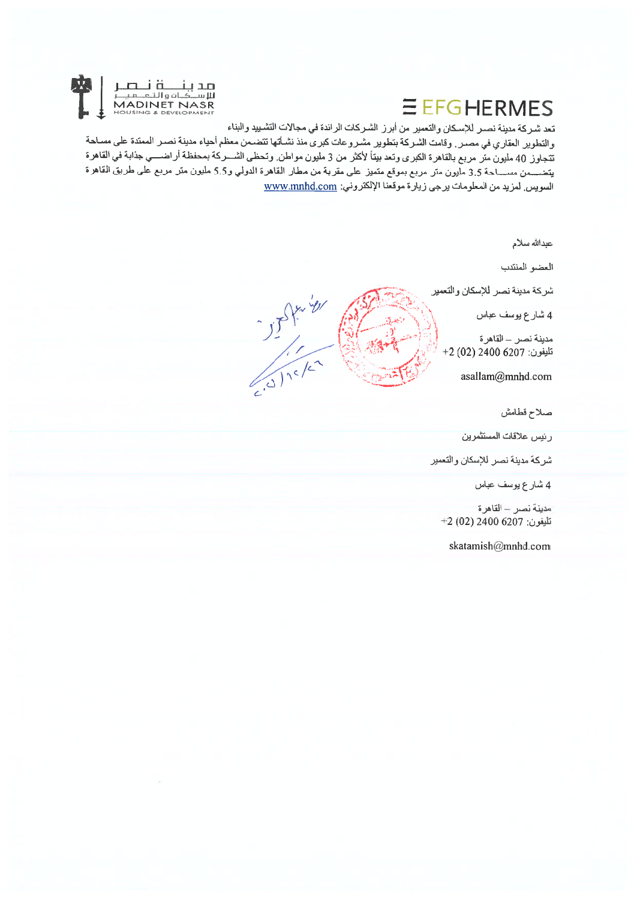# EEFGHERMES



تعد شـركة مدينة نصـر للإسكان والتعمير من أبرز الشـركات الرائدة في مجالات التشـييد والبناء

والتطوير العقاري في مصـر . وقامت الشـركة بتطوير مشـروعات كبري منذ نشـأتها تتضـمن معظم أحياء مدينة نصـر الممتدة على مسـاحة تتجاوز 40 مليون متر مربع بالقاهرة الكبرى وتعد بيتاً لأكثر من 3 مليون مواطن وتحظى الشـــركة بمحفظة أراضــــي جذابة في القاهرة يتضـــمن مســـاحة 3.5 مليون متر مربع بموقع متميز على مقربة من مطار القاهرة الدولي و5.5 مليون متر مربع على طريق القاهرة السويس لمزيد من المعلومات يرجى زيارة موقعنا الإلكتروني: www.mnhd.com

عبدالله سلام العضو المنتدب شركة مدينة نصر للإسكان والتعمير  $355170$ 4 شارع بوسف عباس مدينة نصر – القاهرة تليفون: 6207 2400 (02) 2+ asallam@mnhd.com صلاح قطامش رئيس علاقات المستثمرين شركة مدينة نصر للإسكان والتعمير 4 شارع يوسف عباس مدينة نصر - القاهرة تليغون: 6207 2400 (02) 2+ skatamish@mnhd.com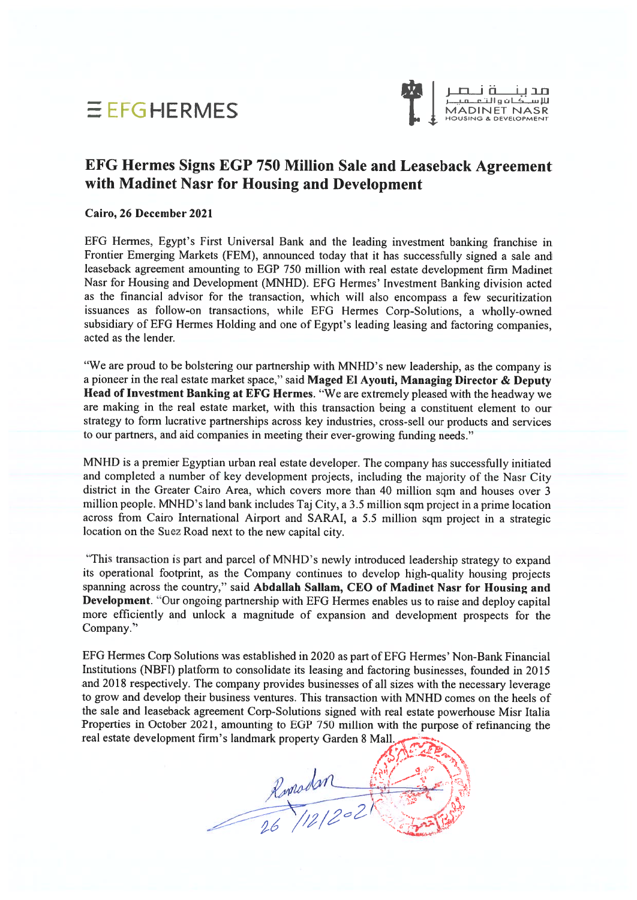



مد بـنـــــة نـــصــر<br>الاســكـافوالتـعــميــر<br>MADINET NASR

### EFG Hermes Signs EGP 750 Million Sale and Leaseback Agreement with Madinet Nasr for Housing and Development

#### Cairo, 26 December 2021

EFG Hermes. Egypt's First Universal Bank and the leading investment banking franchise in Frontier Emerging Markets (FEM), announced today that it has successfully signed <sup>a</sup> sale and leaseback agreemen<sup>t</sup> amounting to EGP 750 million with real estate development firm Madinet Nasr for Housing and Development (MNHD). EFG Hermes' Investment Banking division acted as the financial advisor for the transaction. which will also encompass <sup>a</sup> few securitization issuances as follow-on transactions, while EFG Hermes Corp-Solutions, <sup>a</sup> wholly-owned subsidiary of EFG Hermes Holding and one of Egypt's leading leasing and factoring companies, acted as the lender.

"We are prou<sup>d</sup> to be bolstering our partnership with MNHD's new leadership, as the company is <sup>a</sup> <sup>p</sup>ioneer in the real estate market space," said Maged El Ayouti, Managing Director & Deputy Head of Investment Banking at EFG Hermes. "We are extremely <sup>p</sup>leased with the headway we are making in the real estate market, with this transaction being <sup>a</sup> constituent element to our strategy to form lucrative partnerships across key industries, cross-sell our products and services to our partners, and aid companies in meeting their ever-growing funding needs."

MNHD is <sup>a</sup> premier Egyptian urban real estate developer. The company has successfully initiated and completed a number of key development projects, including the majority of the Nasr City district in the Greater Cairo Area, which covers more than <sup>40</sup> million sqm and houses over <sup>3</sup> million people. MNHD's land bank includes Taj City, a 3.5 million sqm project in a prime location across from Cairo International Airport and SARA!, <sup>a</sup> 5.5 million sqm project in <sup>a</sup> strategic location on the Suez Road next to the new capital city.

"This transaction is par<sup>t</sup> and parce<sup>l</sup> of MNHD's newly introduced leadership strategy to expan<sup>d</sup> its operational footprint, as the Company continues to develop high-quality housing projects spanning across the country." said Abdallah Sallam, CEO of Madinet Nasr for Housing and Development. "Our ongoing partnership with EFG Hermes enables us to raise and deploy capital more efficiently and unlock <sup>a</sup> magnitude of expansion and development prospects for the Company."

EFG Hennes Corp Solutions was established in <sup>2020</sup> as par<sup>t</sup> of EFG Hermes' Non-Bank Financial Institutions (NBFI) platform to consolidate its leasing and factoring businesses, founded in 2015 and <sup>2018</sup> respectively. The company provides businesses of all sizes with the necessary leverage to grow and develop their business ventures. This transaction with MNHD comes on the heels of the sale and leaseback agreemen<sup>t</sup> Corp-Solutions signed with real estate powerhouse Misr Italia Properties in October 2021, amounting to EGP <sup>750</sup> million with the purpose of refinancing the real estate development firm's landmark property Garden 8 Mall

Ropolan Ro<br>26/12/2021 ./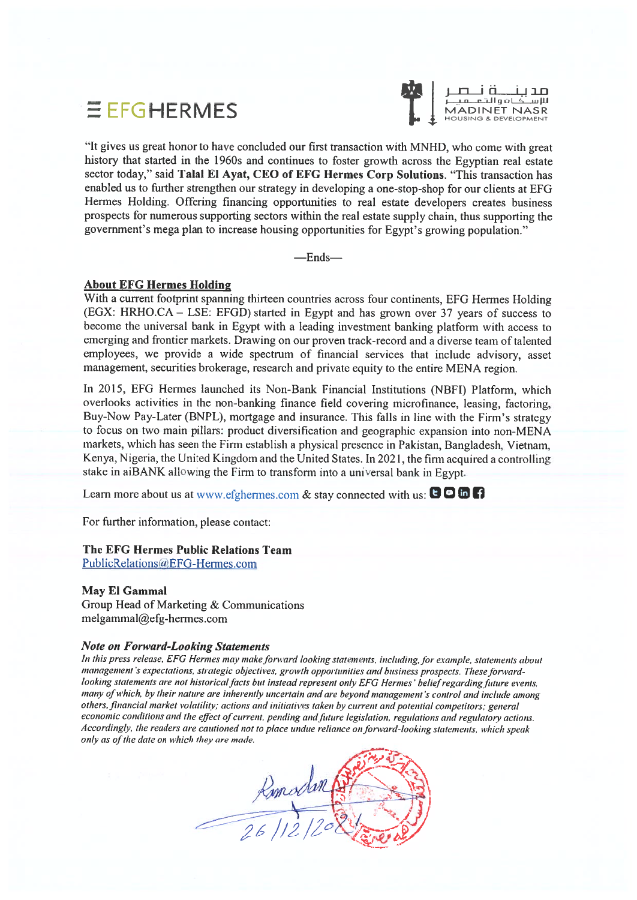## $E$  EFGHERMES



I <sup>j</sup> i-i in iian خبات و الشم

"It <sup>g</sup>ives us grea<sup>t</sup> honor to have concluded our first transaction with MNHD, who come with grea<sup>t</sup> history that started in the 1960s and continues to foster growth across the Egyptian real estate sector today," said Talal El Ayat, CEO of EFG Hermes Corp Solutions. "This transaction has enabled us to further strengthen our strategy in developing <sup>a</sup> one-stop-shop for our clients at EFG Hermes Holding. Offering financing opportunities to real estate developers creates business prospects for numerous supporting sectors within the real estate supply chain, thus supporting the government's mega <sup>p</sup>lan to increase housing opportunities for Egypt's growing population."

—Ends—

#### About EFG Hermes Holding

With a current footprint spanning thirteen countries across four continents, EFG Hermes Holding (EGX: HRHO.CA — LSE: EFGD) started in Egypt and has grown over <sup>37</sup> years of success to become the universal bank in Egypt with a leading investment banking platform with access to emerging and frontier markets. Drawing on our proven track-record and <sup>a</sup> diverse team of talented employees, we provide <sup>a</sup> wide spectrum of financial services that include advisory, asset management, securities brokerage, research and private equity to the entire MENA region.

In 2015, EFG Hermes launched its Non-Bank Financial Institutions (NBFI) Platform, which overlooks activities in the non-banking finance field covering microfinance, leasing, factoring, Buy-Now Pay-Later (BNPL), mortgage and insurance. This falls in line with the Firm's strategy to focus on two main <sup>p</sup>illars: product diversification and geographic expansion into non-MENA markets, which has seen the Firm establish <sup>a</sup> <sup>p</sup>hysical presence in Pakistan, Bangladesh, Vietnam. Kenya. Nigeria. the United Kingdom and the United States. In 2021, the firm acquired <sup>a</sup> controlling stake in aiBANK allowing the Firm to transform into <sup>a</sup> universal bank in Egypt.

Learn more about us at www.efghermes.com & stay connected with us:  $\mathbf{O} \mathbf{O} \mathbf{O}$ 

For further information, please contact:

#### The EFG Hermes Public Relations Team

PublicRelations(aEFG-Hermes.com

#### May El Gammal

Group Head of Marketing & Communications  $melgammal@efg-hermes.com$ 

#### Note on Forward-Looking Statements

In this press release, EFG Hermes may make forward looking statements, including, for example, statements about management 's expectations, strategic objectives, growth opportunities and business prospects. These forwardlooking statements are not historical facts but instead represent only EFG Hermes' belief regarding future events, many of which, by their nature are inherently uncertain and are beyond management's control and include among others, financial market volatility; actions and initiatives taken by current and potential competitors; genera<sup>l</sup> economic conditions and the effect of current, pending and future legislation, regulations and regulatory actions. Accordingly, the readers are cautioned not to place undue reliance on forward-looking statements, which speak only as of the date on which they are made.

Romodon